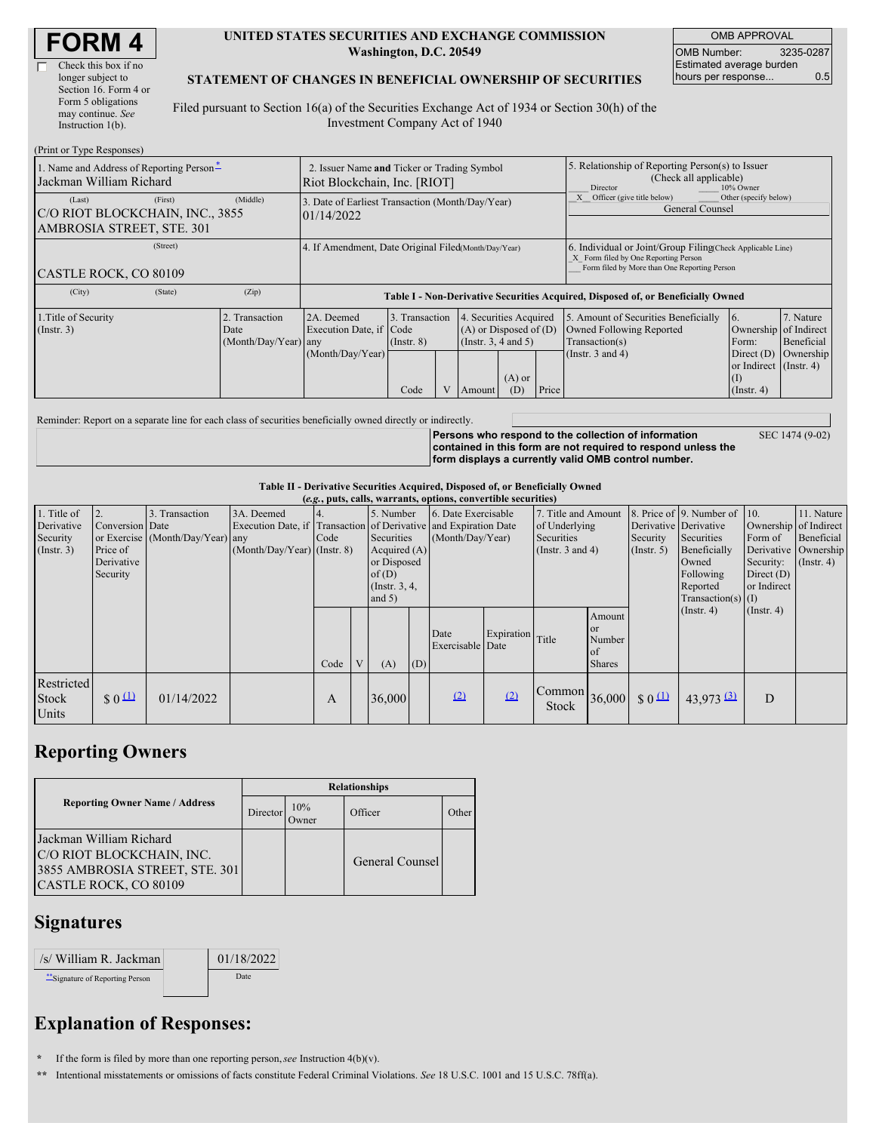| <b>FORM 4</b> |  |
|---------------|--|
|---------------|--|

| Check this box if no  |
|-----------------------|
| longer subject to     |
| Section 16. Form 4 or |
| Form 5 obligations    |
| may continue. See     |
| Instruction $1(b)$ .  |

 $(D_{\text{rint}} \text{ or } T_{\text{V}} \text{ as } R \in$ 

#### **UNITED STATES SECURITIES AND EXCHANGE COMMISSION Washington, D.C. 20549**

OMB APPROVAL OMB Number: 3235-0287 Estimated average burden hours per response... 0.5

#### **STATEMENT OF CHANGES IN BENEFICIAL OWNERSHIP OF SECURITIES**

Filed pursuant to Section 16(a) of the Securities Exchange Act of 1934 or Section 30(h) of the Investment Company Act of 1940

| 1. Name and Address of Reporting Person-<br>Jackman William Richard               | 2. Issuer Name and Ticker or Trading Symbol<br>Riot Blockchain, Inc. [RIOT] |                                                                                  |                                           |                                                                                                                                     |  | 5. Relationship of Reporting Person(s) to Issuer<br>(Check all applicable)<br>Director<br>10% Owner |                                                                                                             |                                                                                                                                                    |                                      |  |  |
|-----------------------------------------------------------------------------------|-----------------------------------------------------------------------------|----------------------------------------------------------------------------------|-------------------------------------------|-------------------------------------------------------------------------------------------------------------------------------------|--|-----------------------------------------------------------------------------------------------------|-------------------------------------------------------------------------------------------------------------|----------------------------------------------------------------------------------------------------------------------------------------------------|--------------------------------------|--|--|
| (First)<br>(Last)<br>C/O RIOT BLOCKCHAIN, INC., 3855<br>AMBROSIA STREET, STE. 301 | (Middle)                                                                    | 3. Date of Earliest Transaction (Month/Day/Year)<br>01/14/2022                   |                                           |                                                                                                                                     |  |                                                                                                     | Other (specify below)<br>Officer (give title below)<br>General Counsel                                      |                                                                                                                                                    |                                      |  |  |
| (Street)<br>CASTLE ROCK, CO 80109                                                 |                                                                             | 4. If Amendment, Date Original Filed(Month/Day/Year)                             |                                           |                                                                                                                                     |  |                                                                                                     |                                                                                                             | 6. Individual or Joint/Group Filing Check Applicable Line)<br>X Form filed by One Reporting Person<br>Form filed by More than One Reporting Person |                                      |  |  |
| (City)<br>(State)                                                                 | (Zip)                                                                       | Table I - Non-Derivative Securities Acquired, Disposed of, or Beneficially Owned |                                           |                                                                                                                                     |  |                                                                                                     |                                                                                                             |                                                                                                                                                    |                                      |  |  |
| 1. Title of Security<br>$($ Instr. 3 $)$                                          | 2. Transaction<br>Date<br>(Month/Day/Year) any                              | 2A. Deemed<br>Execution Date, if Code<br>(Month/Day/Year)                        | 3. Transaction<br>$($ Instr. $8)$<br>Code | 4. Securities Acquired<br>$(A)$ or Disposed of $(D)$<br>(Instr. 3, 4 and 5)<br>$(A)$ or<br>$\overline{V}$<br>Price<br>(D)<br>Amount |  |                                                                                                     | 5. Amount of Securities Beneficially<br>Owned Following Reported<br>Transaction(s)<br>(Instr. $3$ and $4$ ) | 16.<br>Ownership of Indirect<br>Form:<br>Direct $(D)$<br>or Indirect (Instr. 4)<br>(1)<br>$($ Instr. 4 $)$                                         | 7. Nature<br>Beneficial<br>Ownership |  |  |

Reminder: Report on a separate line for each class of securities beneficially owned directly or indirectly.

**Persons who respond to the collection of information contained in this form are not required to respond unless the form displays a currently valid OMB control number.**

SEC 1474 (9-02)

### **Table II - Derivative Securities Acquired, Disposed of, or Beneficially Owned**

| (e.g., puts, calls, warrants, options, convertible securities) |                                |                                  |                                                                  |      |  |                 |     |                     |            |                                       |               |                      |                                              |                       |                      |
|----------------------------------------------------------------|--------------------------------|----------------------------------|------------------------------------------------------------------|------|--|-----------------|-----|---------------------|------------|---------------------------------------|---------------|----------------------|----------------------------------------------|-----------------------|----------------------|
| 1. Title of                                                    |                                | 3. Transaction                   | 3A. Deemed                                                       |      |  | 5. Number       |     | 6. Date Exercisable |            | 7. Title and Amount                   |               |                      | 8. Price of $\vert$ 9. Number of $\vert$ 10. |                       | 11. Nature           |
| Derivative                                                     | Conversion Date                |                                  | Execution Date, if Transaction of Derivative and Expiration Date |      |  |                 |     |                     |            | of Underlying                         |               |                      | Derivative Derivative                        | Ownership of Indirect |                      |
| Security                                                       |                                | or Exercise (Month/Day/Year) any |                                                                  | Code |  | Securities      |     | (Month/Day/Year)    |            | <b>Securities</b>                     |               | Security             | Securities                                   | Form of               | Beneficial           |
| $($ Instr. 3 $)$                                               | Price of                       |                                  | $(Month/Day/Year)$ (Instr. 8)                                    |      |  | Acquired $(A)$  |     |                     |            | (Instr. $3$ and $4$ )                 |               | (Insert. 5)          | Beneficially                                 |                       | Derivative Ownership |
|                                                                | Derivative                     |                                  |                                                                  |      |  | or Disposed     |     |                     |            |                                       |               | Owned                | Security:                                    | $($ Instr. 4)         |                      |
|                                                                | Security                       |                                  |                                                                  |      |  | of(D)           |     |                     |            |                                       |               | Following            | Direct $(D)$                                 |                       |                      |
|                                                                |                                |                                  |                                                                  |      |  | (Instr. $3, 4,$ |     |                     |            |                                       |               |                      | Reported                                     | or Indirect           |                      |
|                                                                |                                |                                  |                                                                  |      |  | and $5)$        |     |                     |            |                                       |               | Transaction(s) $(I)$ |                                              |                       |                      |
|                                                                |                                |                                  |                                                                  |      |  |                 |     |                     |            |                                       | Amount        |                      | $($ Instr. 4 $)$                             | $($ Instr. 4 $)$      |                      |
|                                                                |                                |                                  |                                                                  |      |  |                 |     | Date                | Expiration |                                       | <b>l</b> or   |                      |                                              |                       |                      |
|                                                                |                                |                                  |                                                                  |      |  |                 |     | Exercisable Date    |            | Title                                 | Number        |                      |                                              |                       |                      |
|                                                                |                                |                                  |                                                                  |      |  |                 |     |                     |            |                                       | <b>l</b> of   |                      |                                              |                       |                      |
|                                                                |                                |                                  |                                                                  | Code |  | (A)             | (D) |                     |            |                                       | <b>Shares</b> |                      |                                              |                       |                      |
| Restricted                                                     |                                |                                  |                                                                  |      |  |                 |     |                     |            |                                       |               |                      |                                              |                       |                      |
| Stock                                                          | $\frac{1}{2}$ 0 $\frac{11}{2}$ | 01/14/2022                       |                                                                  | A    |  | 36,000          |     | (2)                 | (2)        | $\vert$ Common $\vert$ 36,000 $\vert$ |               | $\frac{1}{2}0$       | $43,973$ $\underline{^{(3)}}$                | D                     |                      |
|                                                                |                                |                                  |                                                                  |      |  |                 |     |                     |            | Stock                                 |               |                      |                                              |                       |                      |
| Units                                                          |                                |                                  |                                                                  |      |  |                 |     |                     |            |                                       |               |                      |                                              |                       |                      |

### **Reporting Owners**

|                                                                                                                 | <b>Relationships</b> |                  |                 |       |  |  |  |  |
|-----------------------------------------------------------------------------------------------------------------|----------------------|------------------|-----------------|-------|--|--|--|--|
| <b>Reporting Owner Name / Address</b>                                                                           | Director             | $10\%$<br>Dwner) | Officer         | Other |  |  |  |  |
| Jackman William Richard<br>C/O RIOT BLOCKCHAIN, INC.<br>3855 AMBROSIA STREET, STE. 301<br>CASTLE ROCK, CO 80109 |                      |                  | General Counsel |       |  |  |  |  |

## **Signatures**

| /s/ William R. Jackman         | 01/18/2022 |
|--------------------------------|------------|
| "Signature of Reporting Person | Date       |

# **Explanation of Responses:**

**\*** If the form is filed by more than one reporting person,*see* Instruction 4(b)(v).

**\*\*** Intentional misstatements or omissions of facts constitute Federal Criminal Violations. *See* 18 U.S.C. 1001 and 15 U.S.C. 78ff(a).